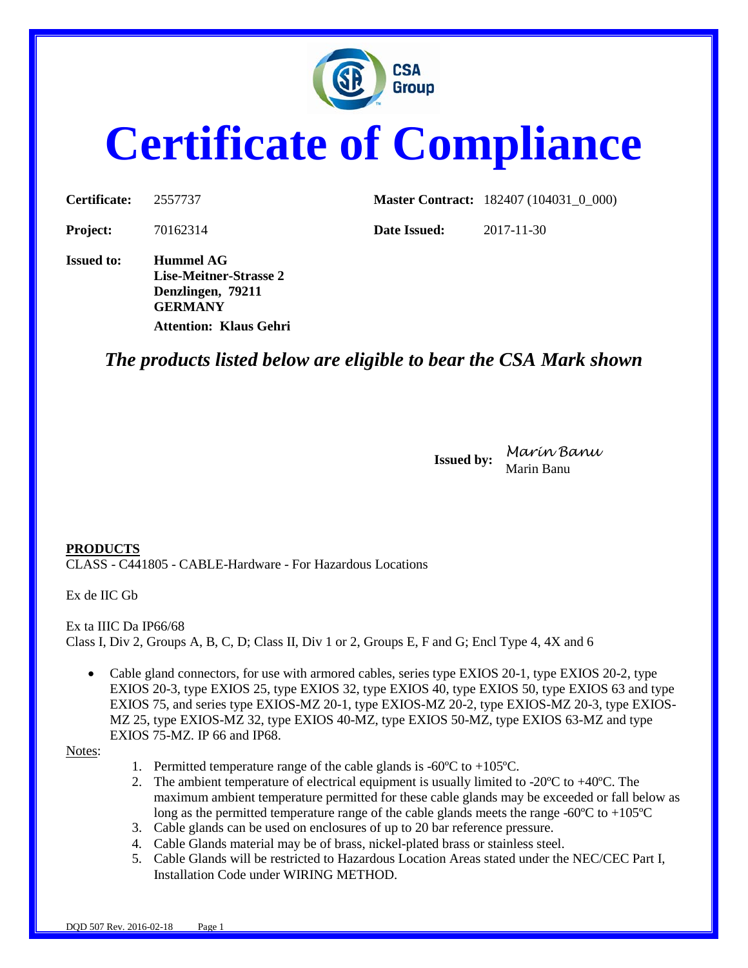

# **Certificate of Compliance**

| <b>Certificate:</b> | 2557737                                                         |              | <b>Master Contract:</b> 182407 (104031 0 000) |
|---------------------|-----------------------------------------------------------------|--------------|-----------------------------------------------|
| <b>Project:</b>     | 70162314                                                        | Date Issued: | 2017-11-30                                    |
| <b>Issued to:</b>   | Hummel AG<br><b>Lise-Meitner-Strasse 2</b><br>Denzlingen, 79211 |              |                                               |

## *The products listed below are eligible to bear the CSA Mark shown*

**Issued by:** *Marin Banu* Marin Banu

#### **PRODUCTS**

CLASS - C441805 - CABLE-Hardware - For Hazardous Locations

**GERMANY**

**Attention: Klaus Gehri**

Ex de IIC Gb

Ex ta IIIC Da IP66/68 Class I, Div 2, Groups A, B, C, D; Class II, Div 1 or 2, Groups E, F and G; Encl Type 4, 4X and 6

• Cable gland connectors, for use with armored cables, series type EXIOS 20-1, type EXIOS 20-2, type EXIOS 20-3, type EXIOS 25, type EXIOS 32, type EXIOS 40, type EXIOS 50, type EXIOS 63 and type EXIOS 75, and series type EXIOS-MZ 20-1, type EXIOS-MZ 20-2, type EXIOS-MZ 20-3, type EXIOS-MZ 25, type EXIOS-MZ 32, type EXIOS 40-MZ, type EXIOS 50-MZ, type EXIOS 63-MZ and type EXIOS 75-MZ. IP 66 and IP68.

Notes:

- 1. Permitted temperature range of the cable glands is  $-60^{\circ}$ C to  $+105^{\circ}$ C.
- 2. The ambient temperature of electrical equipment is usually limited to -20 $^{\circ}$ C to +40 $^{\circ}$ C. The maximum ambient temperature permitted for these cable glands may be exceeded or fall below as long as the permitted temperature range of the cable glands meets the range -60ºC to +105ºC
- 3. Cable glands can be used on enclosures of up to 20 bar reference pressure.
- 4. Cable Glands material may be of brass, nickel-plated brass or stainless steel.
- 5. Cable Glands will be restricted to Hazardous Location Areas stated under the NEC/CEC Part I, Installation Code under WIRING METHOD.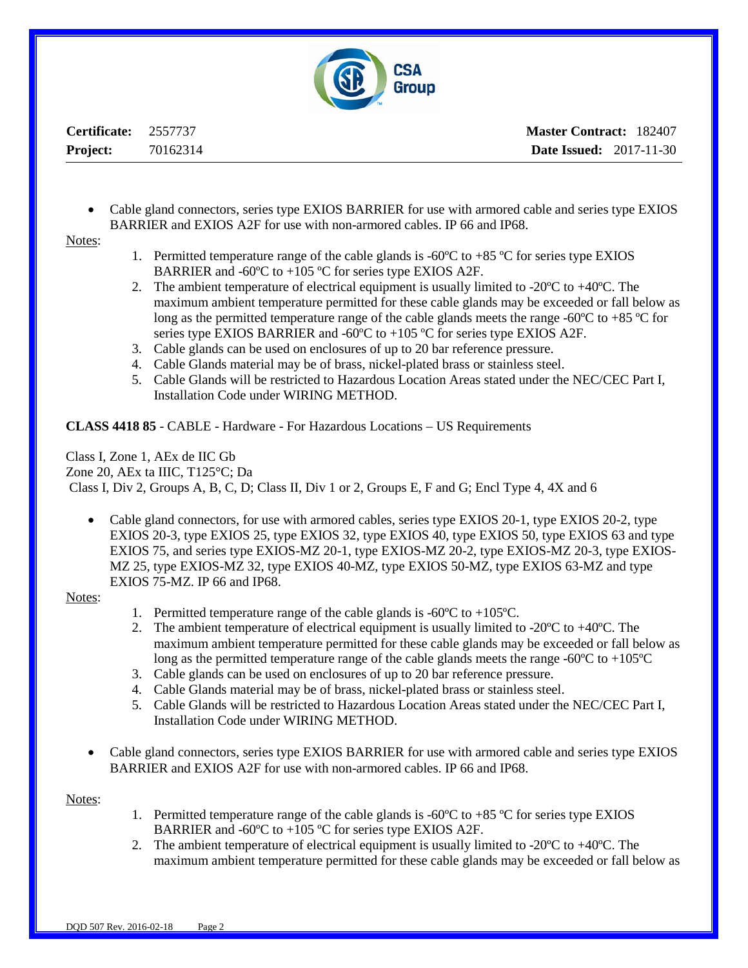

**Certificate:** 2557737 **Project:** 70162314

• Cable gland connectors, series type EXIOS BARRIER for use with armored cable and series type EXIOS BARRIER and EXIOS A2F for use with non-armored cables. IP 66 and IP68.

Notes:

- 1. Permitted temperature range of the cable glands is -60 $\degree$ C to +85  $\degree$ C for series type EXIOS BARRIER and -60 $\degree$ C to +105  $\degree$ C for series type EXIOS A2F.
- 2. The ambient temperature of electrical equipment is usually limited to -20ºC to +40ºC. The maximum ambient temperature permitted for these cable glands may be exceeded or fall below as long as the permitted temperature range of the cable glands meets the range -60 $\degree$ C to +85  $\degree$ C for series type EXIOS BARRIER and -60ºC to +105 ºC for series type EXIOS A2F.
- 3. Cable glands can be used on enclosures of up to 20 bar reference pressure.
- 4. Cable Glands material may be of brass, nickel-plated brass or stainless steel.
- 5. Cable Glands will be restricted to Hazardous Location Areas stated under the NEC/CEC Part I, Installation Code under WIRING METHOD.

**CLASS 4418 85** - CABLE - Hardware - For Hazardous Locations – US Requirements

Class I, Zone 1, AEx de IIC Gb Zone 20, AEx ta IIIC, T125°C; Da Class I, Div 2, Groups A, B, C, D; Class II, Div 1 or 2, Groups E, F and G; Encl Type 4, 4X and 6

• Cable gland connectors, for use with armored cables, series type EXIOS 20-1, type EXIOS 20-2, type EXIOS 20-3, type EXIOS 25, type EXIOS 32, type EXIOS 40, type EXIOS 50, type EXIOS 63 and type EXIOS 75, and series type EXIOS-MZ 20-1, type EXIOS-MZ 20-2, type EXIOS-MZ 20-3, type EXIOS-MZ 25, type EXIOS-MZ 32, type EXIOS 40-MZ, type EXIOS 50-MZ, type EXIOS 63-MZ and type EXIOS 75-MZ. IP 66 and IP68.

Notes:

- 1. Permitted temperature range of the cable glands is  $-60^{\circ}\text{C}$  to  $+105^{\circ}\text{C}$ .
- 2. The ambient temperature of electrical equipment is usually limited to -20ºC to +40ºC. The maximum ambient temperature permitted for these cable glands may be exceeded or fall below as long as the permitted temperature range of the cable glands meets the range -60ºC to +105ºC
- 3. Cable glands can be used on enclosures of up to 20 bar reference pressure.
- 4. Cable Glands material may be of brass, nickel-plated brass or stainless steel.
- 5. Cable Glands will be restricted to Hazardous Location Areas stated under the NEC/CEC Part I, Installation Code under WIRING METHOD.
- Cable gland connectors, series type EXIOS BARRIER for use with armored cable and series type EXIOS BARRIER and EXIOS A2F for use with non-armored cables. IP 66 and IP68.

Notes:

- 1. Permitted temperature range of the cable glands is  $-60^{\circ}\text{C}$  to  $+85^{\circ}\text{C}$  for series type EXIOS BARRIER and -60ºC to +105 ºC for series type EXIOS A2F.
- 2. The ambient temperature of electrical equipment is usually limited to -20 $^{\circ}$ C to +40 $^{\circ}$ C. The maximum ambient temperature permitted for these cable glands may be exceeded or fall below as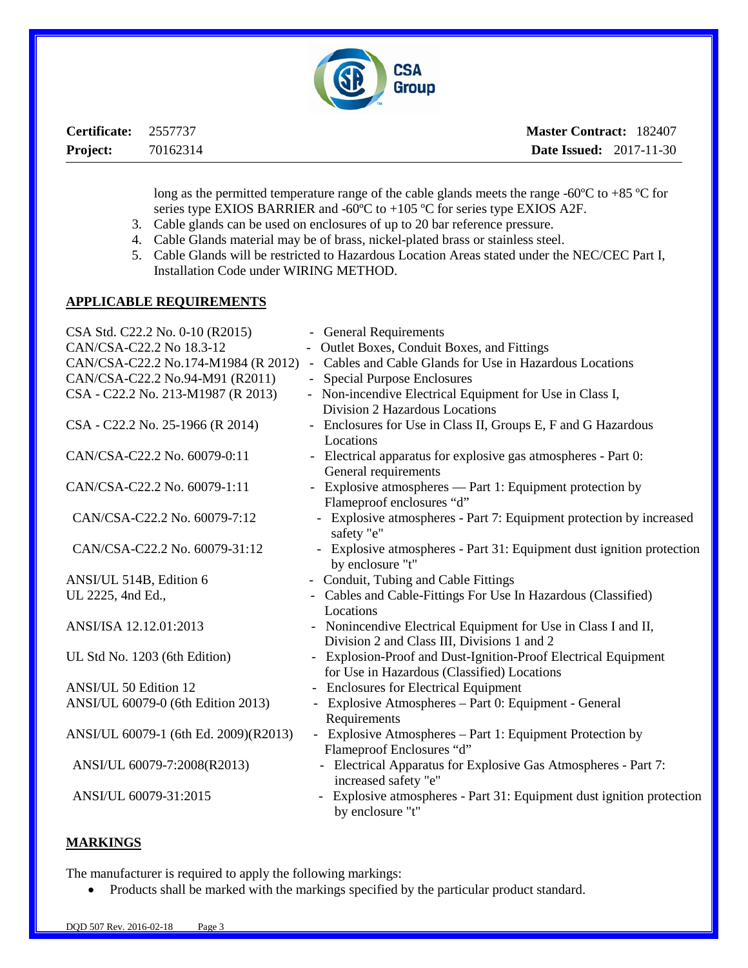

| Certificate: 2557737 |          | <b>Master Contract: 182407</b> |  |
|----------------------|----------|--------------------------------|--|
| <b>Project:</b>      | 70162314 | <b>Date Issued:</b> 2017-11-30 |  |

long as the permitted temperature range of the cable glands meets the range -60ºC to +85 ºC for series type EXIOS BARRIER and -60ºC to +105 ºC for series type EXIOS A2F.

- 3. Cable glands can be used on enclosures of up to 20 bar reference pressure.
- 4. Cable Glands material may be of brass, nickel-plated brass or stainless steel.
- 5. Cable Glands will be restricted to Hazardous Location Areas stated under the NEC/CEC Part I, Installation Code under WIRING METHOD.

#### **APPLICABLE REQUIREMENTS**

| CSA Std. C22.2 No. 0-10 (R2015)       | - General Requirements                                                                    |
|---------------------------------------|-------------------------------------------------------------------------------------------|
| CAN/CSA-C22.2 No 18.3-12              | - Outlet Boxes, Conduit Boxes, and Fittings                                               |
| CAN/CSA-C22.2 No.174-M1984 (R 2012)   | - Cables and Cable Glands for Use in Hazardous Locations                                  |
| CAN/CSA-C22.2 No.94-M91 (R2011)       | - Special Purpose Enclosures                                                              |
| CSA - C22.2 No. 213-M1987 (R 2013)    | - Non-incendive Electrical Equipment for Use in Class I,                                  |
|                                       | Division 2 Hazardous Locations                                                            |
| CSA - C22.2 No. 25-1966 (R 2014)      | - Enclosures for Use in Class II, Groups E, F and G Hazardous                             |
|                                       | Locations                                                                                 |
| CAN/CSA-C22.2 No. 60079-0:11          | - Electrical apparatus for explosive gas atmospheres - Part 0:<br>General requirements    |
| CAN/CSA-C22.2 No. 60079-1:11          | - Explosive atmospheres — Part 1: Equipment protection by                                 |
|                                       | Flameproof enclosures "d"                                                                 |
| CAN/CSA-C22.2 No. 60079-7:12          | - Explosive atmospheres - Part 7: Equipment protection by increased<br>safety "e"         |
| CAN/CSA-C22.2 No. 60079-31:12         | - Explosive atmospheres - Part 31: Equipment dust ignition protection<br>by enclosure "t" |
| ANSI/UL 514B, Edition 6               | - Conduit, Tubing and Cable Fittings                                                      |
| UL 2225, 4nd Ed.,                     | - Cables and Cable-Fittings For Use In Hazardous (Classified)                             |
|                                       | Locations                                                                                 |
| ANSI/ISA 12.12.01:2013                | - Nonincendive Electrical Equipment for Use in Class I and II,                            |
|                                       | Division 2 and Class III, Divisions 1 and 2                                               |
| UL Std No. 1203 (6th Edition)         | - Explosion-Proof and Dust-Ignition-Proof Electrical Equipment                            |
|                                       | for Use in Hazardous (Classified) Locations                                               |
| <b>ANSI/UL 50 Edition 12</b>          | - Enclosures for Electrical Equipment                                                     |
| ANSI/UL 60079-0 (6th Edition 2013)    | - Explosive Atmospheres - Part 0: Equipment - General                                     |
|                                       | Requirements                                                                              |
| ANSI/UL 60079-1 (6th Ed. 2009)(R2013) | - Explosive Atmospheres - Part 1: Equipment Protection by                                 |
|                                       | Flameproof Enclosures "d"                                                                 |
| ANSI/UL 60079-7:2008(R2013)           | - Electrical Apparatus for Explosive Gas Atmospheres - Part 7:<br>increased safety "e"    |
| ANSI/UL 60079-31:2015                 | Explosive atmospheres - Part 31: Equipment dust ignition protection<br>by enclosure "t"   |
|                                       |                                                                                           |

#### **MARKINGS**

The manufacturer is required to apply the following markings:

• Products shall be marked with the markings specified by the particular product standard.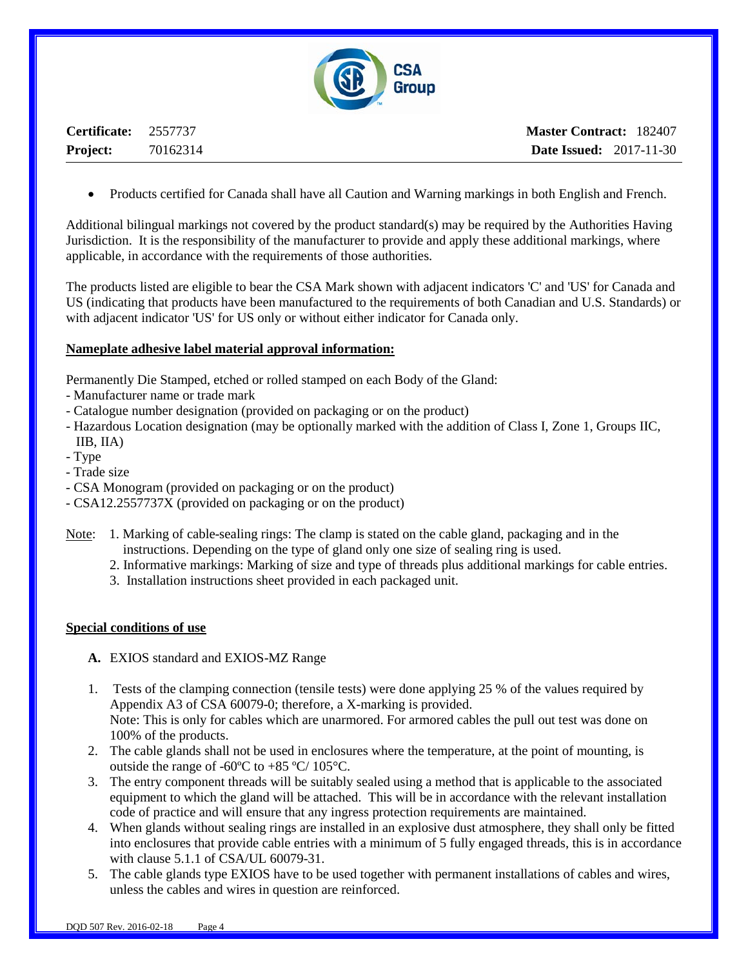

**Certificate:** 2557737 **Project:** 70162314

**Master Contract:** 182407 **Date Issued:** 2017-11-30

• Products certified for Canada shall have all Caution and Warning markings in both English and French.

Additional bilingual markings not covered by the product standard(s) may be required by the Authorities Having Jurisdiction. It is the responsibility of the manufacturer to provide and apply these additional markings, where applicable, in accordance with the requirements of those authorities.

The products listed are eligible to bear the CSA Mark shown with adjacent indicators 'C' and 'US' for Canada and US (indicating that products have been manufactured to the requirements of both Canadian and U.S. Standards) or with adjacent indicator 'US' for US only or without either indicator for Canada only.

#### **Nameplate adhesive label material approval information:**

Permanently Die Stamped, etched or rolled stamped on each Body of the Gland:

- Manufacturer name or trade mark
- Catalogue number designation (provided on packaging or on the product)
- Hazardous Location designation (may be optionally marked with the addition of Class I, Zone 1, Groups IIC, IIB, IIA)
- Type
- Trade size
- CSA Monogram (provided on packaging or on the product)
- CSA12.2557737X (provided on packaging or on the product)
- Note: 1. Marking of cable-sealing rings: The clamp is stated on the cable gland, packaging and in the instructions. Depending on the type of gland only one size of sealing ring is used.
	- 2. Informative markings: Marking of size and type of threads plus additional markings for cable entries.
	- 3. Installation instructions sheet provided in each packaged unit.

#### **Special conditions of use**

- **A.** EXIOS standard and EXIOS-MZ Range
- 1. Tests of the clamping connection (tensile tests) were done applying 25 % of the values required by Appendix A3 of CSA 60079-0; therefore, a X-marking is provided. Note: This is only for cables which are unarmored. For armored cables the pull out test was done on 100% of the products.
- 2. The cable glands shall not be used in enclosures where the temperature, at the point of mounting, is outside the range of -60ºC to +85 ºC/ 105°C.
- 3. The entry component threads will be suitably sealed using a method that is applicable to the associated equipment to which the gland will be attached. This will be in accordance with the relevant installation code of practice and will ensure that any ingress protection requirements are maintained.
- 4. When glands without sealing rings are installed in an explosive dust atmosphere, they shall only be fitted into enclosures that provide cable entries with a minimum of 5 fully engaged threads, this is in accordance with clause 5.1.1 of CSA/UL 60079-31.
- 5. The cable glands type EXIOS have to be used together with permanent installations of cables and wires, unless the cables and wires in question are reinforced.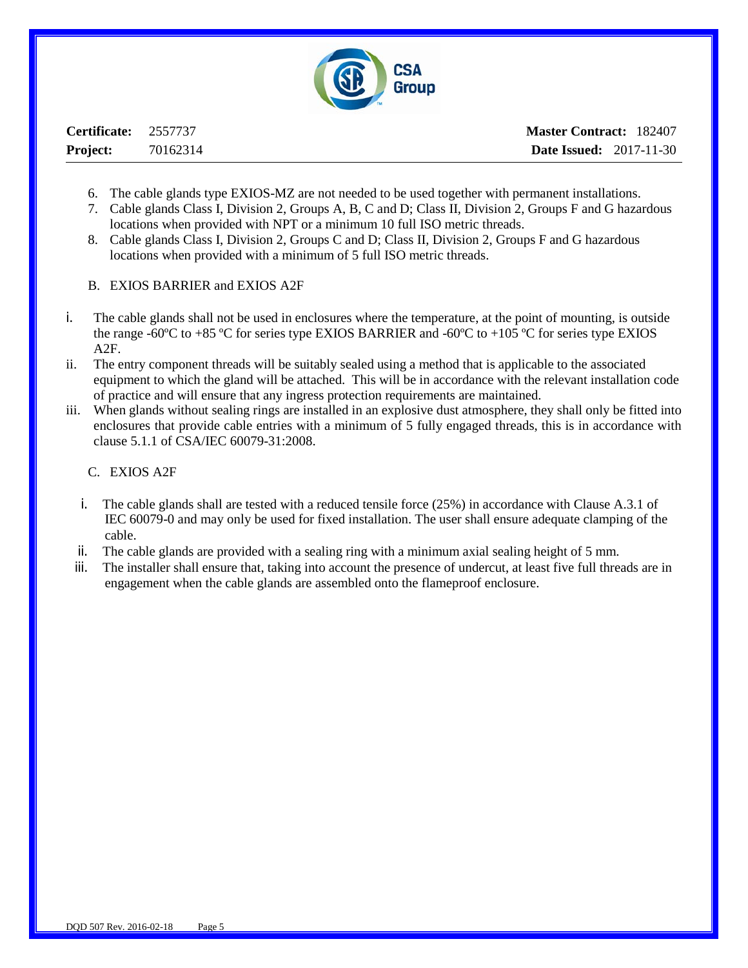

**Certificate:** 2557737 **Project:** 70162314

- 6. The cable glands type EXIOS-MZ are not needed to be used together with permanent installations.
- 7. Cable glands Class I, Division 2, Groups A, B, C and D; Class II, Division 2, Groups F and G hazardous locations when provided with NPT or a minimum 10 full ISO metric threads.
- 8. Cable glands Class I, Division 2, Groups C and D; Class II, Division 2, Groups F and G hazardous locations when provided with a minimum of 5 full ISO metric threads.
- B. EXIOS BARRIER and EXIOS A2F
- i. The cable glands shall not be used in enclosures where the temperature, at the point of mounting, is outside the range -60ºC to +85 ºC for series type EXIOS BARRIER and -60ºC to +105 ºC for series type EXIOS A2F.
- ii. The entry component threads will be suitably sealed using a method that is applicable to the associated equipment to which the gland will be attached. This will be in accordance with the relevant installation code of practice and will ensure that any ingress protection requirements are maintained.
- iii. When glands without sealing rings are installed in an explosive dust atmosphere, they shall only be fitted into enclosures that provide cable entries with a minimum of 5 fully engaged threads, this is in accordance with clause 5.1.1 of CSA/IEC 60079-31:2008.
	- C. EXIOS A2F
	- i. The cable glands shall are tested with a reduced tensile force (25%) in accordance with Clause A.3.1 of IEC 60079-0 and may only be used for fixed installation. The user shall ensure adequate clamping of the cable.
	- ii. The cable glands are provided with a sealing ring with a minimum axial sealing height of 5 mm.
	- iii. The installer shall ensure that, taking into account the presence of undercut, at least five full threads are in engagement when the cable glands are assembled onto the flameproof enclosure.